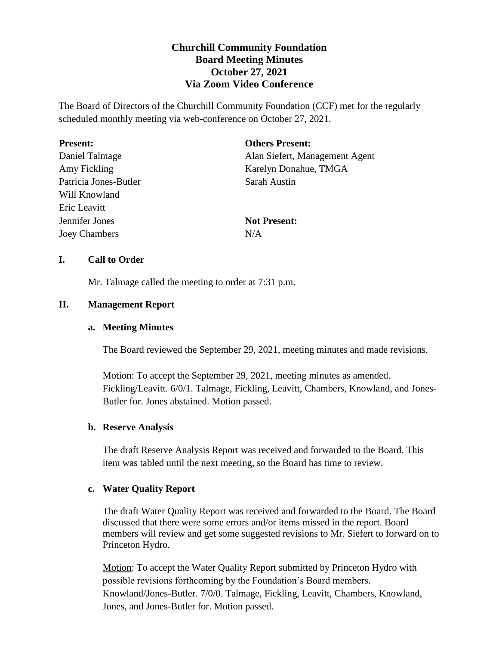# **Churchill Community Foundation Board Meeting Minutes October 27, 2021 Via Zoom Video Conference**

The Board of Directors of the Churchill Community Foundation (CCF) met for the regularly scheduled monthly meeting via web-conference on October 27, 2021.

| <b>Present:</b>       | <b>Others Present:</b>         |
|-----------------------|--------------------------------|
| Daniel Talmage        | Alan Siefert, Management Agent |
| Amy Fickling          | Karelyn Donahue, TMGA          |
| Patricia Jones-Butler | Sarah Austin                   |
| Will Knowland         |                                |
| Eric Leavitt          |                                |
| Jennifer Jones        | <b>Not Present:</b>            |
| <b>Joey Chambers</b>  | N/A                            |

### **I. Call to Order**

Mr. Talmage called the meeting to order at 7:31 p.m.

### **II. Management Report**

### **a. Meeting Minutes**

The Board reviewed the September 29, 2021, meeting minutes and made revisions.

Motion: To accept the September 29, 2021, meeting minutes as amended. Fickling/Leavitt. 6/0/1. Talmage, Fickling, Leavitt, Chambers, Knowland, and Jones-Butler for. Jones abstained. Motion passed.

### **b. Reserve Analysis**

The draft Reserve Analysis Report was received and forwarded to the Board. This item was tabled until the next meeting, so the Board has time to review.

## **c. Water Quality Report**

The draft Water Quality Report was received and forwarded to the Board. The Board discussed that there were some errors and/or items missed in the report. Board members will review and get some suggested revisions to Mr. Siefert to forward on to Princeton Hydro.

Motion: To accept the Water Quality Report submitted by Princeton Hydro with possible revisions forthcoming by the Foundation's Board members. Knowland/Jones-Butler. 7/0/0. Talmage, Fickling, Leavitt, Chambers, Knowland, Jones, and Jones-Butler for. Motion passed.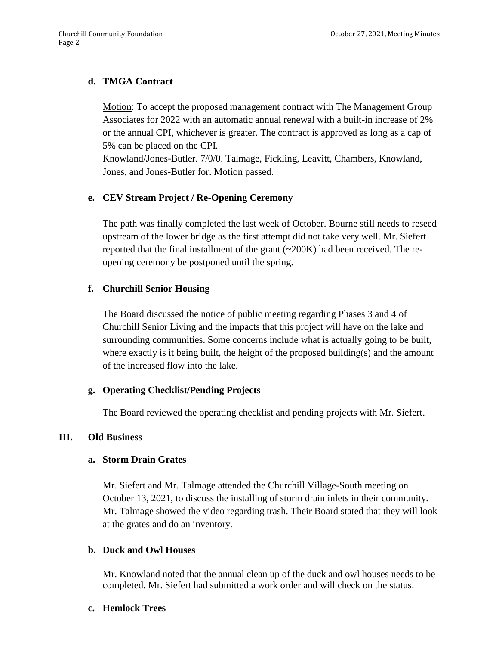## **d. TMGA Contract**

Motion: To accept the proposed management contract with The Management Group Associates for 2022 with an automatic annual renewal with a built-in increase of 2% or the annual CPI, whichever is greater. The contract is approved as long as a cap of 5% can be placed on the CPI.

Knowland/Jones-Butler. 7/0/0. Talmage, Fickling, Leavitt, Chambers, Knowland, Jones, and Jones-Butler for. Motion passed.

## **e. CEV Stream Project / Re-Opening Ceremony**

The path was finally completed the last week of October. Bourne still needs to reseed upstream of the lower bridge as the first attempt did not take very well. Mr. Siefert reported that the final installment of the grant (~200K) had been received. The reopening ceremony be postponed until the spring.

### **f. Churchill Senior Housing**

The Board discussed the notice of public meeting regarding Phases 3 and 4 of Churchill Senior Living and the impacts that this project will have on the lake and surrounding communities. Some concerns include what is actually going to be built, where exactly is it being built, the height of the proposed building(s) and the amount of the increased flow into the lake.

## **g. Operating Checklist/Pending Projects**

The Board reviewed the operating checklist and pending projects with Mr. Siefert.

### **III. Old Business**

### **a. Storm Drain Grates**

Mr. Siefert and Mr. Talmage attended the Churchill Village-South meeting on October 13, 2021, to discuss the installing of storm drain inlets in their community. Mr. Talmage showed the video regarding trash. Their Board stated that they will look at the grates and do an inventory.

## **b. Duck and Owl Houses**

Mr. Knowland noted that the annual clean up of the duck and owl houses needs to be completed. Mr. Siefert had submitted a work order and will check on the status.

### **c. Hemlock Trees**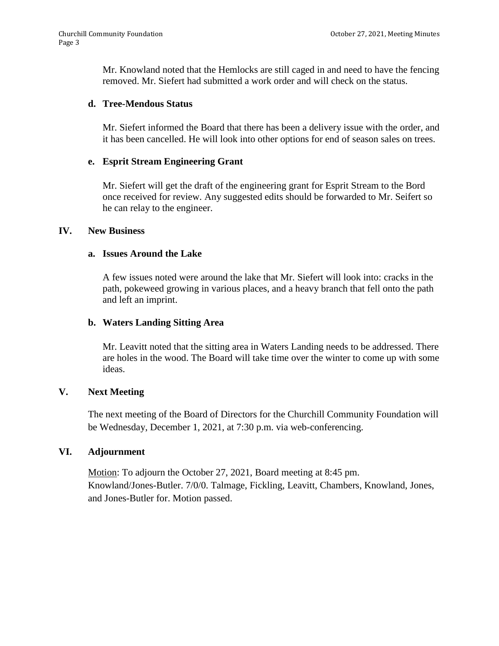Mr. Knowland noted that the Hemlocks are still caged in and need to have the fencing removed. Mr. Siefert had submitted a work order and will check on the status.

#### **d. Tree-Mendous Status**

Mr. Siefert informed the Board that there has been a delivery issue with the order, and it has been cancelled. He will look into other options for end of season sales on trees.

### **e. Esprit Stream Engineering Grant**

Mr. Siefert will get the draft of the engineering grant for Esprit Stream to the Bord once received for review. Any suggested edits should be forwarded to Mr. Seifert so he can relay to the engineer.

### **IV. New Business**

### **a. Issues Around the Lake**

A few issues noted were around the lake that Mr. Siefert will look into: cracks in the path, pokeweed growing in various places, and a heavy branch that fell onto the path and left an imprint.

### **b. Waters Landing Sitting Area**

Mr. Leavitt noted that the sitting area in Waters Landing needs to be addressed. There are holes in the wood. The Board will take time over the winter to come up with some ideas.

### **V. Next Meeting**

The next meeting of the Board of Directors for the Churchill Community Foundation will be Wednesday, December 1, 2021, at 7:30 p.m. via web-conferencing.

### **VI. Adjournment**

Motion: To adjourn the October 27, 2021, Board meeting at 8:45 pm. Knowland/Jones-Butler. 7/0/0. Talmage, Fickling, Leavitt, Chambers, Knowland, Jones, and Jones-Butler for. Motion passed.